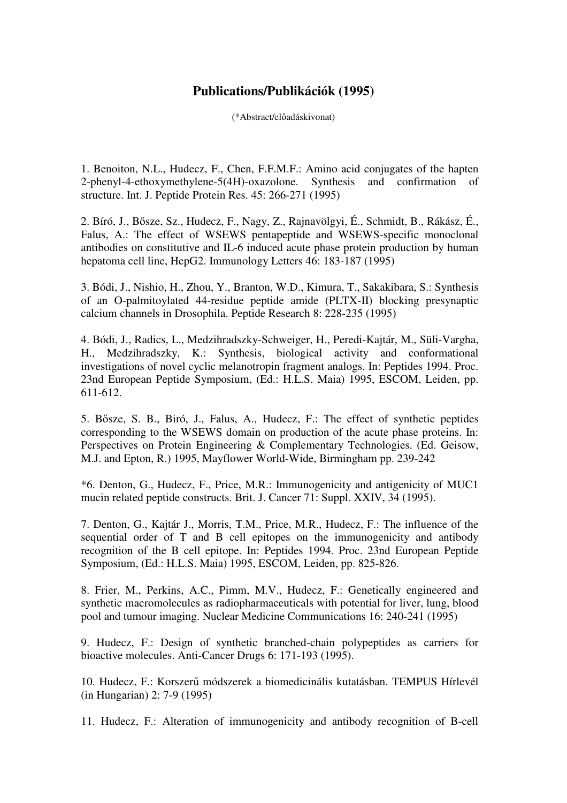## **Publications/Publikációk (1995)**

(\*Abstract/előadáskivonat)

1. Benoiton, N.L., Hudecz, F., Chen, F.F.M.F.: Amino acid conjugates of the hapten 2-phenyl-4-ethoxymethylene-5(4H)-oxazolone. Synthesis and confirmation of structure. Int. J. Peptide Protein Res. 45: 266-271 (1995)

2. Bíró, J., Bősze, Sz., Hudecz, F., Nagy, Z., Rajnavölgyi, É., Schmidt, B., Rákász, É., Falus, A.: The effect of WSEWS pentapeptide and WSEWS-specific monoclonal antibodies on constitutive and IL-6 induced acute phase protein production by human hepatoma cell line, HepG2. Immunology Letters 46: 183-187 (1995)

3. Bódi, J., Nishio, H., Zhou, Y., Branton, W.D., Kimura, T., Sakakibara, S.: Synthesis of an O-palmitoylated 44-residue peptide amide (PLTX-II) blocking presynaptic calcium channels in Drosophila. Peptide Research 8: 228-235 (1995)

4. Bódi, J., Radics, L., Medzihradszky-Schweiger, H., Peredi-Kajtár, M., Süli-Vargha, H., Medzihradszky, K.: Synthesis, biological activity and conformational investigations of novel cyclic melanotropin fragment analogs. In: Peptides 1994. Proc. 23nd European Peptide Symposium, (Ed.: H.L.S. Maia) 1995, ESCOM, Leiden, pp. 611-612.

5. Bősze, S. B., Biró, J., Falus, A., Hudecz, F.: The effect of synthetic peptides corresponding to the WSEWS domain on production of the acute phase proteins. In: Perspectives on Protein Engineering & Complementary Technologies. (Ed. Geisow, M.J. and Epton, R.) 1995, Mayflower World-Wide, Birmingham pp. 239-242

\*6. Denton, G., Hudecz, F., Price, M.R.: Immunogenicity and antigenicity of MUC1 mucin related peptide constructs. Brit. J. Cancer 71: Suppl. XXIV, 34 (1995).

7. Denton, G., Kajtár J., Morris, T.M., Price, M.R., Hudecz, F.: The influence of the sequential order of T and B cell epitopes on the immunogenicity and antibody recognition of the B cell epitope. In: Peptides 1994. Proc. 23nd European Peptide Symposium, (Ed.: H.L.S. Maia) 1995, ESCOM, Leiden, pp. 825-826.

8. Frier, M., Perkins, A.C., Pimm, M.V., Hudecz, F.: Genetically engineered and synthetic macromolecules as radiopharmaceuticals with potential for liver, lung, blood pool and tumour imaging. Nuclear Medicine Communications 16: 240-241 (1995)

9. Hudecz, F.: Design of synthetic branched-chain polypeptides as carriers for bioactive molecules. Anti-Cancer Drugs 6: 171-193 (1995).

10. Hudecz, F.: Korszerű módszerek a biomedicinális kutatásban. TEMPUS Hírlevél (in Hungarian) 2: 7-9 (1995)

11. Hudecz, F.: Alteration of immunogenicity and antibody recognition of B-cell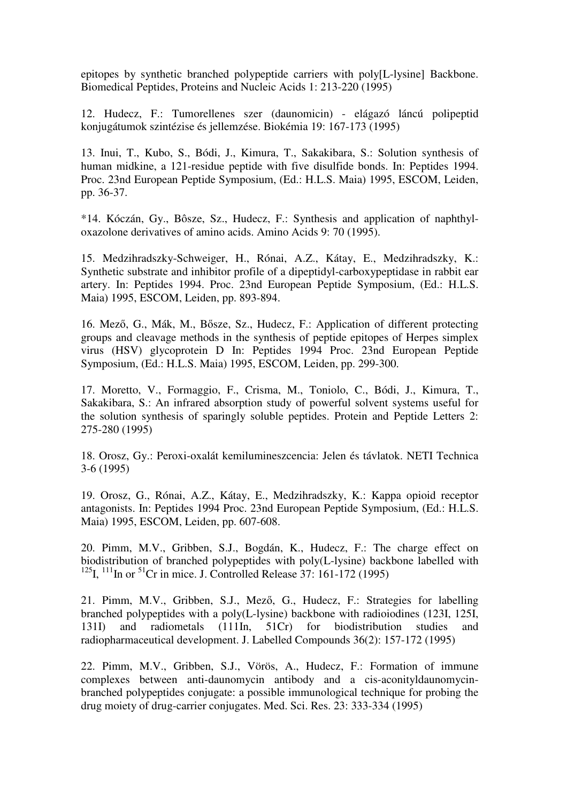epitopes by synthetic branched polypeptide carriers with poly[L-lysine] Backbone. Biomedical Peptides, Proteins and Nucleic Acids 1: 213-220 (1995)

12. Hudecz, F.: Tumorellenes szer (daunomicin) - elágazó láncú polipeptid konjugátumok szintézise és jellemzése. Biokémia 19: 167-173 (1995)

13. Inui, T., Kubo, S., Bódi, J., Kimura, T., Sakakibara, S.: Solution synthesis of human midkine, a 121-residue peptide with five disulfide bonds. In: Peptides 1994. Proc. 23nd European Peptide Symposium, (Ed.: H.L.S. Maia) 1995, ESCOM, Leiden, pp. 36-37.

\*14. Kóczán, Gy., Bôsze, Sz., Hudecz, F.: Synthesis and application of naphthyloxazolone derivatives of amino acids. Amino Acids 9: 70 (1995).

15. Medzihradszky-Schweiger, H., Rónai, A.Z., Kátay, E., Medzihradszky, K.: Synthetic substrate and inhibitor profile of a dipeptidyl-carboxypeptidase in rabbit ear artery. In: Peptides 1994. Proc. 23nd European Peptide Symposium, (Ed.: H.L.S. Maia) 1995, ESCOM, Leiden, pp. 893-894.

16. Mező, G., Mák, M., Bősze, Sz., Hudecz, F.: Application of different protecting groups and cleavage methods in the synthesis of peptide epitopes of Herpes simplex virus (HSV) glycoprotein D In: Peptides 1994 Proc. 23nd European Peptide Symposium, (Ed.: H.L.S. Maia) 1995, ESCOM, Leiden, pp. 299-300.

17. Moretto, V., Formaggio, F., Crisma, M., Toniolo, C., Bódi, J., Kimura, T., Sakakibara, S.: An infrared absorption study of powerful solvent systems useful for the solution synthesis of sparingly soluble peptides. Protein and Peptide Letters 2: 275-280 (1995)

18. Orosz, Gy.: Peroxi-oxalát kemilumineszcencia: Jelen és távlatok. NETI Technica 3-6 (1995)

19. Orosz, G., Rónai, A.Z., Kátay, E., Medzihradszky, K.: Kappa opioid receptor antagonists. In: Peptides 1994 Proc. 23nd European Peptide Symposium, (Ed.: H.L.S. Maia) 1995, ESCOM, Leiden, pp. 607-608.

20. Pimm, M.V., Gribben, S.J., Bogdán, K., Hudecz, F.: The charge effect on biodistribution of branched polypeptides with poly(L-lysine) backbone labelled with <sup>125</sup>I, <sup>111</sup>In or <sup>51</sup>Cr in mice. J. Controlled Release 37: 161-172 (1995)

21. Pimm, M.V., Gribben, S.J., Mező, G., Hudecz, F.: Strategies for labelling branched polypeptides with a poly(L-lysine) backbone with radioiodines (123I, 125I, 131I) and radiometals (111In, 51Cr) for biodistribution studies and radiopharmaceutical development. J. Labelled Compounds 36(2): 157-172 (1995)

22. Pimm, M.V., Gribben, S.J., Vörös, A., Hudecz, F.: Formation of immune complexes between anti-daunomycin antibody and a cis-aconityldaunomycinbranched polypeptides conjugate: a possible immunological technique for probing the drug moiety of drug-carrier conjugates. Med. Sci. Res. 23: 333-334 (1995)